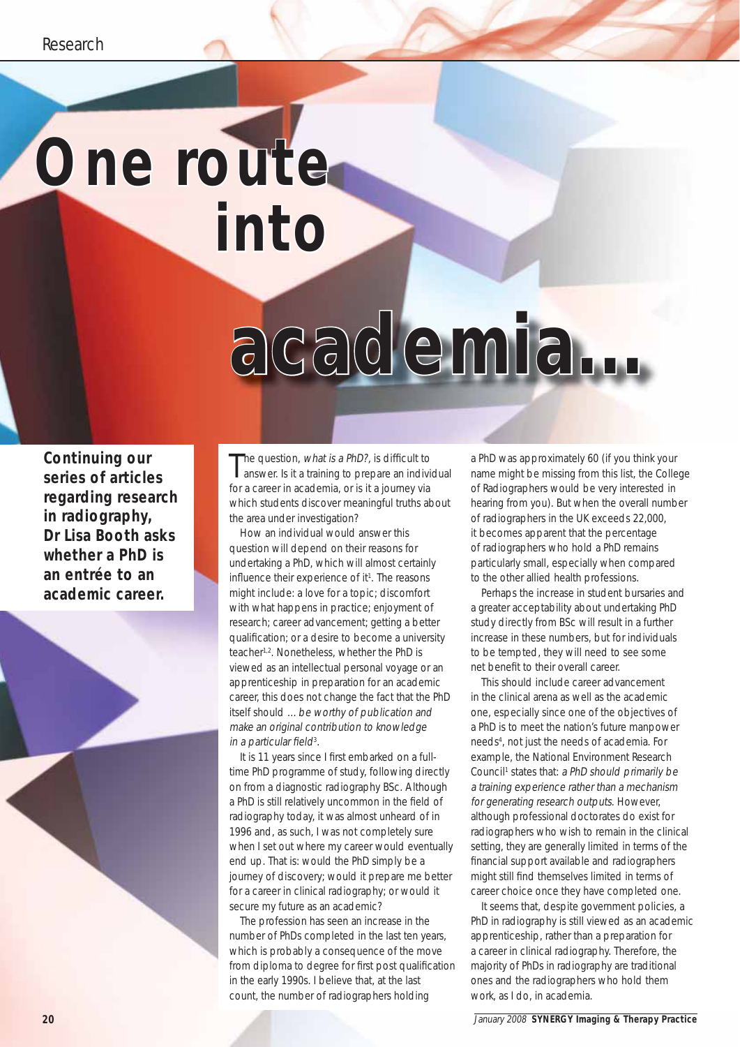## **One route into**

# **academia...**

**Continuing our series of articles regarding research in radiography, Dr Lisa Booth asks whether a PhD is an entrée to an academic career.**

The question, what is a PhD?, is difficult to<br>answer. Is it a training to prepare an individual he question, what is a PhD?, is difficult to for a career in academia, or is it a journey via which students discover meaningful truths about the area under investigation?

How an individual would answer this question will depend on their reasons for undertaking a PhD, which will almost certainly influence their experience of it<sup>1</sup>. The reasons might include: a love for a topic; discomfort with what happens in practice; enjoyment of research; career advancement; getting a better qualification; or a desire to become a university teacher<sup>1,2</sup>. Nonetheless, whether the PhD is viewed as an intellectual personal voyage or an apprenticeship in preparation for an academic career, this does not change the fact that the PhD itself should …be worthy of publication and make an original contribution to knowledge in a particular field<sup>3</sup>.

It is 11 years since I first embarked on a fulltime PhD programme of study, following directly on from a diagnostic radiography BSc. Although a PhD is still relatively uncommon in the field of radiography today, it was almost unheard of in 1996 and, as such, I was not completely sure when I set out where my career would eventually end up. That is: would the PhD simply be a journey of discovery; would it prepare me better for a career in clinical radiography; or would it secure my future as an academic?

The profession has seen an increase in the number of PhDs completed in the last ten years, which is probably a consequence of the move from diploma to degree for first post qualification in the early 1990s. I believe that, at the last count, the number of radiographers holding

a PhD was approximately 60 (if you think your name might be missing from this list, the College of Radiographers would be very interested in hearing from you). But when the overall number of radiographers in the UK exceeds 22,000, it becomes apparent that the percentage of radiographers who hold a PhD remains particularly small, especially when compared to the other allied health professions.

Perhaps the increase in student bursaries and a greater acceptability about undertaking PhD study directly from BSc will result in a further increase in these numbers, but for individuals to be tempted, they will need to see some net benefit to their overall career.

This should include career advancement in the clinical arena as well as the academic one, especially since one of the objectives of a PhD is to meet the nation's future manpower needs4 , not just the needs of academia. For example, the National Environment Research Council<sup>1</sup> states that: a PhD should primarily be a training experience rather than a mechanism for generating research outputs. However, although professional doctorates do exist for radiographers who wish to remain in the clinical setting, they are generally limited in terms of the financial support available and radiographers might still find themselves limited in terms of career choice once they have completed one.

It seems that, despite government policies, a PhD in radiography is still viewed as an academic apprenticeship, rather than a preparation for a career in clinical radiography. Therefore, the majority of PhDs in radiography are traditional ones and the radiographers who hold them work, as I do, in academia.